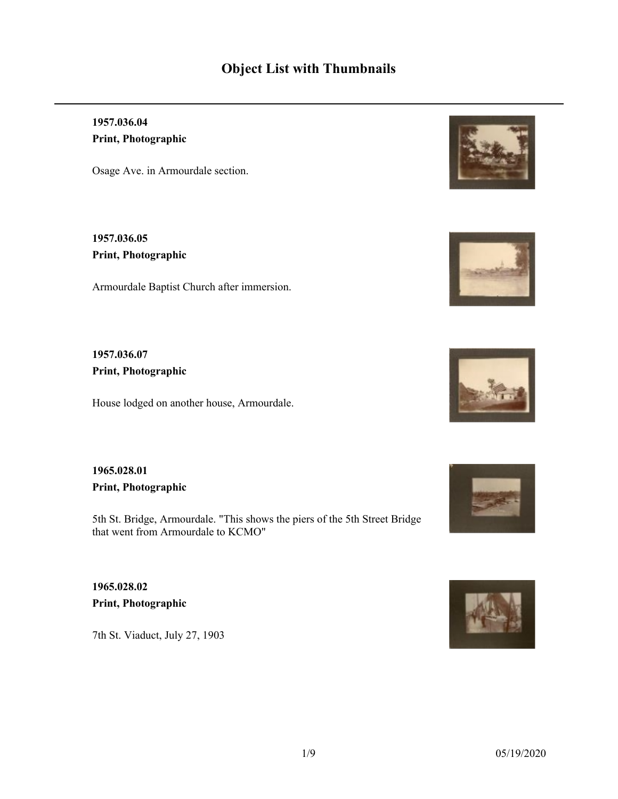# **Object List with Thumbnails**

**1957.036.04 Print, Photographic**

Osage Ave. in Armourdale section.

**1957.036.05 Print, Photographic**

Armourdale Baptist Church after immersion.

**1957.036.07 Print, Photographic**

House lodged on another house, Armourdale.

**1965.028.01 Print, Photographic**

5th St. Bridge, Armourdale. "This shows the piers of the 5th Street Bridge that went from Armourdale to KCMO"

**1965.028.02 Print, Photographic**

7th St. Viaduct, July 27, 1903









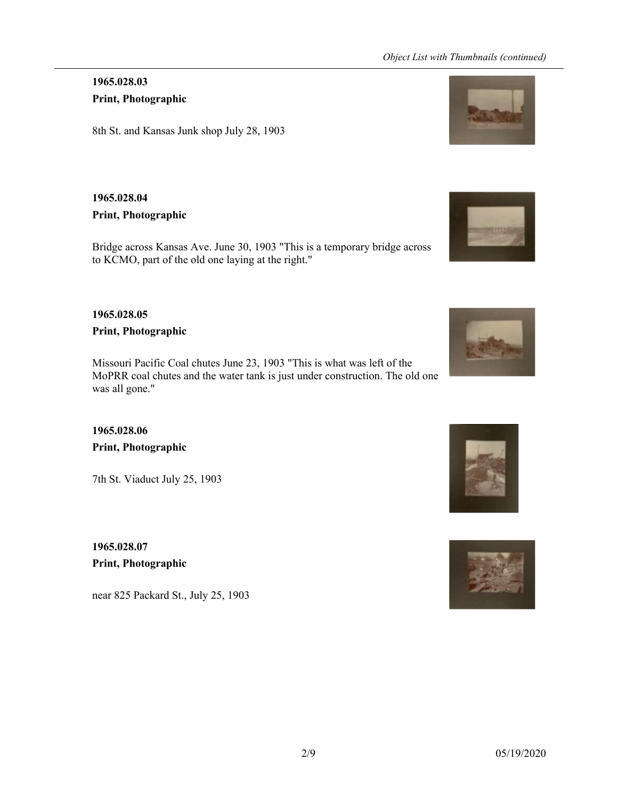### **1965.028.03 Print, Photographic**

8th St. and Kansas Junk shop July 28, 1903

### **1965.028.04**

#### **Print, Photographic**

Bridge across Kansas Ave. June 30, 1903 "This is a temporary bridge across to KCMO, part of the old one laying at the right."

### **1965.028.05**

**Print, Photographic**

Missouri Pacific Coal chutes June 23, 1903 "This is what was left of the MoPRR coal chutes and the water tank is just under construction. The old one was all gone."

### **1965.028.06 Print, Photographic**

7th St. Viaduct July 25, 1903

**1965.028.07 Print, Photographic**

near 825 Packard St., July 25, 1903







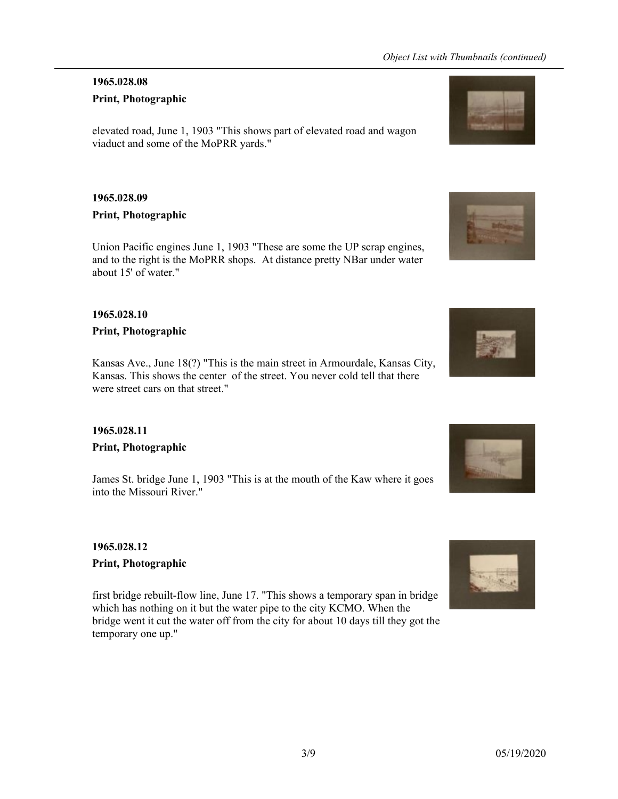#### **1965.028.08**

#### **Print, Photographic**

elevated road, June 1, 1903 "This shows part of elevated road and wagon viaduct and some of the MoPRR yards."

#### **1965.028.09**

#### **Print, Photographic**

Union Pacific engines June 1, 1903 "These are some the UP scrap engines, and to the right is the MoPRR shops. At distance pretty NBar under water about 15' of water."

#### **1965.028.10**

#### **Print, Photographic**

Kansas Ave., June 18(?) "This is the main street in Armourdale, Kansas City, Kansas. This shows the center of the street. You never cold tell that there were street cars on that street."

# **1965.028.11**

#### **Print, Photographic**

James St. bridge June 1, 1903 "This is at the mouth of the Kaw where it goes into the Missouri River."

#### **1965.028.12 Print, Photographic**

first bridge rebuilt-flow line, June 17. "This shows a temporary span in bridge which has nothing on it but the water pipe to the city KCMO. When the bridge went it cut the water off from the city for about 10 days till they got the temporary one up."







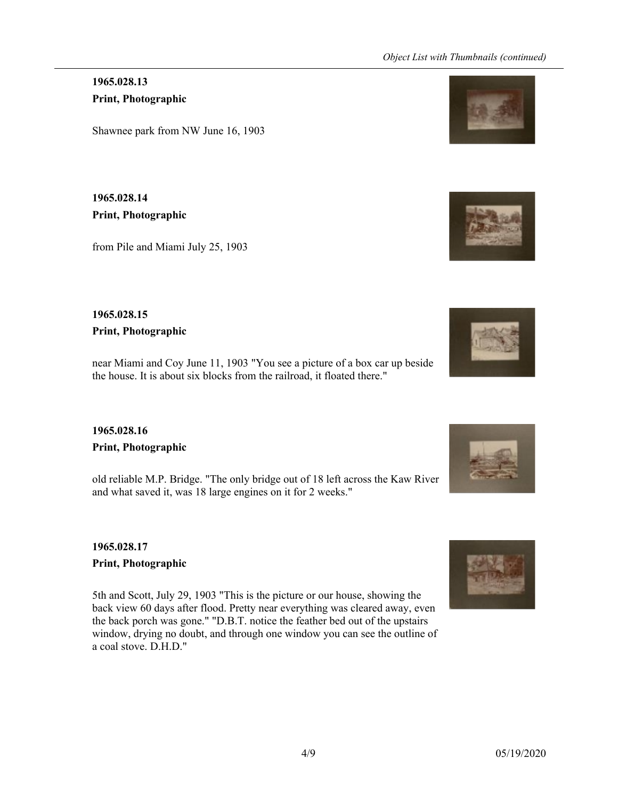**1965.028.13 Print, Photographic**

Shawnee park from NW June 16, 1903

**1965.028.14 Print, Photographic**

from Pile and Miami July 25, 1903

### **1965.028.15 Print, Photographic**

near Miami and Coy June 11, 1903 "You see a picture of a box car up beside the house. It is about six blocks from the railroad, it floated there."

# **1965.028.16 Print, Photographic**

old reliable M.P. Bridge. "The only bridge out of 18 left across the Kaw River and what saved it, was 18 large engines on it for 2 weeks."

### **1965.028.17 Print, Photographic**

5th and Scott, July 29, 1903 "This is the picture or our house, showing the back view 60 days after flood. Pretty near everything was cleared away, even the back porch was gone." "D.B.T. notice the feather bed out of the upstairs window, drying no doubt, and through one window you can see the outline of a coal stove. D.H.D."







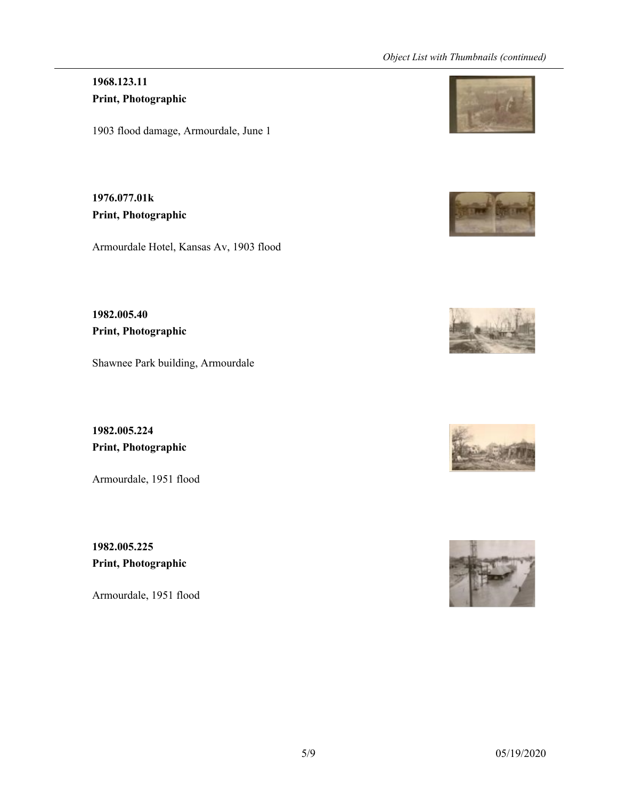# **1968.123.11 Print, Photographic**

1903 flood damage, Armourdale, June 1

**1976.077.01k Print, Photographic**

Armourdale Hotel, Kansas Av, 1903 flood

**1982.005.40 Print, Photographic**

Shawnee Park building, Armourdale

**1982.005.224 Print, Photographic**

Armourdale, 1951 flood

**1982.005.225 Print, Photographic**

Armourdale, 1951 flood









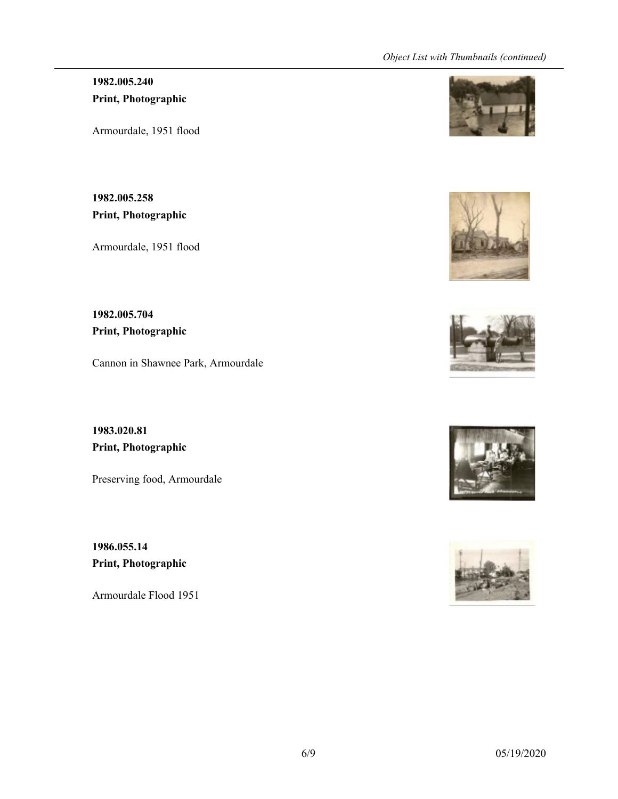### **1982.005.240 Print, Photographic**

Armourdale, 1951 flood

**1982.005.258 Print, Photographic**

Armourdale, 1951 flood

**1982.005.704 Print, Photographic**

Cannon in Shawnee Park, Armourdale

**1983.020.81 Print, Photographic**

Preserving food, Armourdale

**1986.055.14 Print, Photographic**

Armourdale Flood 1951









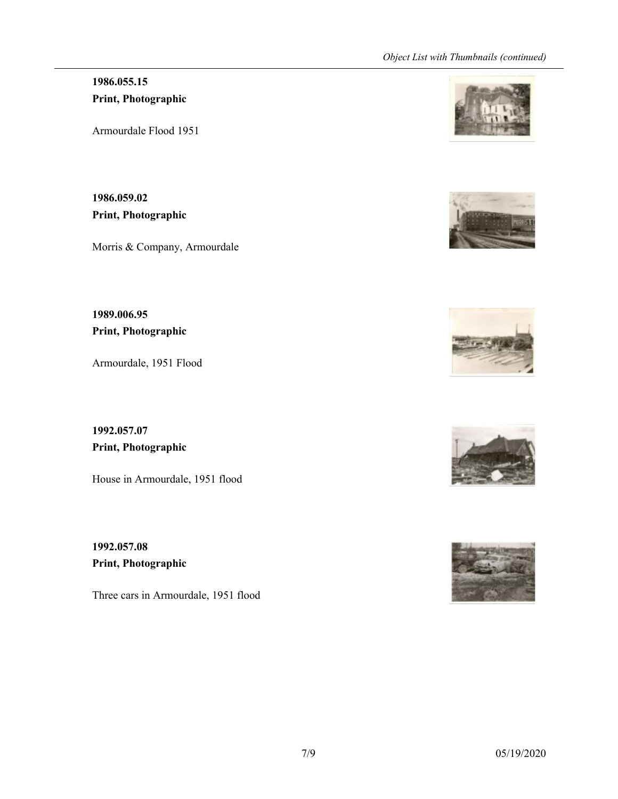# **1986.055.15 Print, Photographic**

Armourdale Flood 1951

**1986.059.02 Print, Photographic**

Morris & Company, Armourdale

**1989.006.95 Print, Photographic**

Armourdale, 1951 Flood

**1992.057.07 Print, Photographic**

House in Armourdale, 1951 flood

**1992.057.08 Print, Photographic**

Three cars in Armourdale, 1951 flood









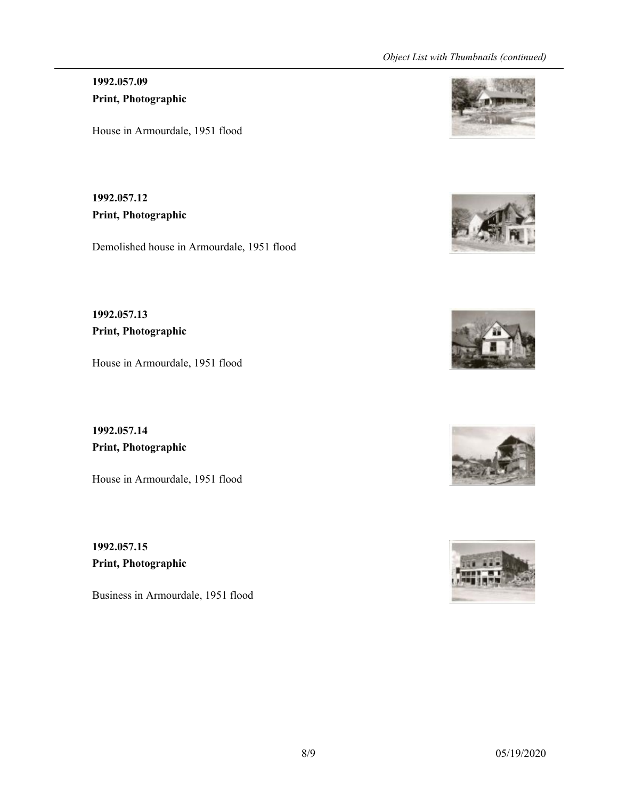### **1992.057.09 Print, Photographic**

House in Armourdale, 1951 flood

**1992.057.12 Print, Photographic**

Demolished house in Armourdale, 1951 flood

**1992.057.13 Print, Photographic**

House in Armourdale, 1951 flood

**1992.057.14 Print, Photographic**

House in Armourdale, 1951 flood

**1992.057.15 Print, Photographic**

Business in Armourdale, 1951 flood